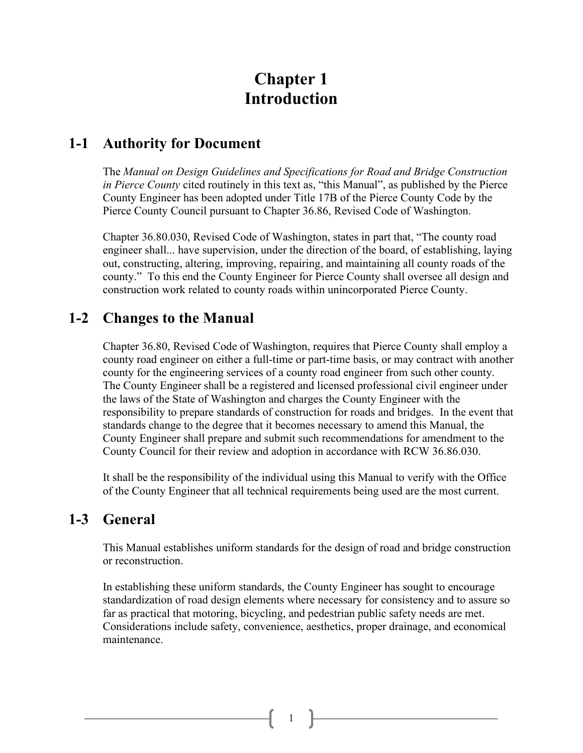# **Chapter 1 Introduction**

#### **1-1 Authority for Document**

The *Manual on Design Guidelines and Specifications for Road and Bridge Construction in Pierce County* cited routinely in this text as, "this Manual", as published by the Pierce County Engineer has been adopted under Title 17B of the Pierce County Code by the Pierce County Council pursuant to Chapter 36.86, Revised Code of Washington.

Chapter 36.80.030, Revised Code of Washington, states in part that, "The county road engineer shall... have supervision, under the direction of the board, of establishing, laying out, constructing, altering, improving, repairing, and maintaining all county roads of the county." To this end the County Engineer for Pierce County shall oversee all design and construction work related to county roads within unincorporated Pierce County.

### **1-2 Changes to the Manual**

Chapter 36.80, Revised Code of Washington, requires that Pierce County shall employ a county road engineer on either a full-time or part-time basis, or may contract with another county for the engineering services of a county road engineer from such other county. The County Engineer shall be a registered and licensed professional civil engineer under the laws of the State of Washington and charges the County Engineer with the responsibility to prepare standards of construction for roads and bridges. In the event that standards change to the degree that it becomes necessary to amend this Manual, the County Engineer shall prepare and submit such recommendations for amendment to the County Council for their review and adoption in accordance with RCW 36.86.030.

It shall be the responsibility of the individual using this Manual to verify with the Office of the County Engineer that all technical requirements being used are the most current.

## **1-3 General**

This Manual establishes uniform standards for the design of road and bridge construction or reconstruction.

In establishing these uniform standards, the County Engineer has sought to encourage standardization of road design elements where necessary for consistency and to assure so far as practical that motoring, bicycling, and pedestrian public safety needs are met. Considerations include safety, convenience, aesthetics, proper drainage, and economical maintenance.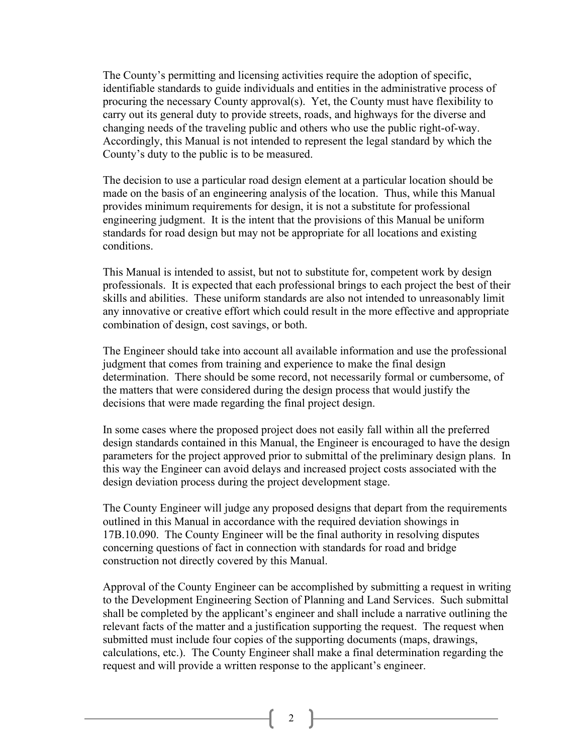The County's permitting and licensing activities require the adoption of specific, identifiable standards to guide individuals and entities in the administrative process of procuring the necessary County approval(s). Yet, the County must have flexibility to carry out its general duty to provide streets, roads, and highways for the diverse and changing needs of the traveling public and others who use the public right-of-way. Accordingly, this Manual is not intended to represent the legal standard by which the County's duty to the public is to be measured.

The decision to use a particular road design element at a particular location should be made on the basis of an engineering analysis of the location. Thus, while this Manual provides minimum requirements for design, it is not a substitute for professional engineering judgment. It is the intent that the provisions of this Manual be uniform standards for road design but may not be appropriate for all locations and existing conditions.

This Manual is intended to assist, but not to substitute for, competent work by design professionals. It is expected that each professional brings to each project the best of their skills and abilities. These uniform standards are also not intended to unreasonably limit any innovative or creative effort which could result in the more effective and appropriate combination of design, cost savings, or both.

The Engineer should take into account all available information and use the professional judgment that comes from training and experience to make the final design determination. There should be some record, not necessarily formal or cumbersome, of the matters that were considered during the design process that would justify the decisions that were made regarding the final project design.

In some cases where the proposed project does not easily fall within all the preferred design standards contained in this Manual, the Engineer is encouraged to have the design parameters for the project approved prior to submittal of the preliminary design plans. In this way the Engineer can avoid delays and increased project costs associated with the design deviation process during the project development stage.

The County Engineer will judge any proposed designs that depart from the requirements outlined in this Manual in accordance with the required deviation showings in 17B.10.090. The County Engineer will be the final authority in resolving disputes concerning questions of fact in connection with standards for road and bridge construction not directly covered by this Manual.

Approval of the County Engineer can be accomplished by submitting a request in writing to the Development Engineering Section of Planning and Land Services. Such submittal shall be completed by the applicant's engineer and shall include a narrative outlining the relevant facts of the matter and a justification supporting the request. The request when submitted must include four copies of the supporting documents (maps, drawings, calculations, etc.). The County Engineer shall make a final determination regarding the request and will provide a written response to the applicant's engineer.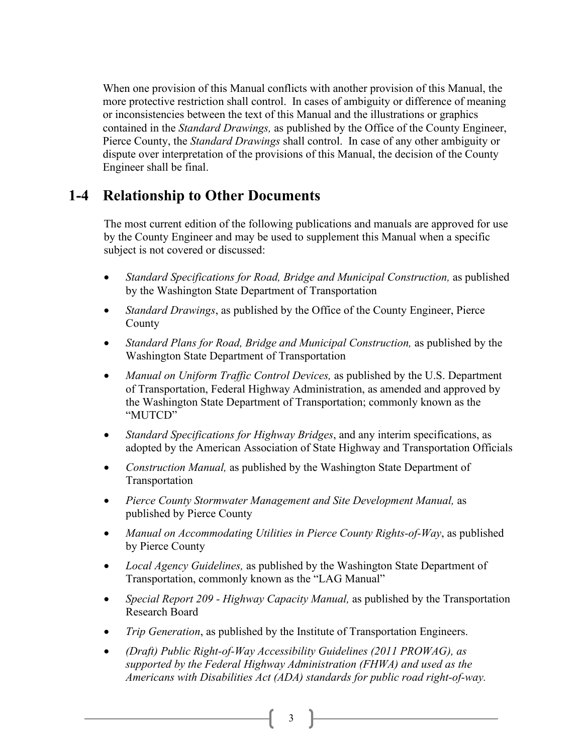When one provision of this Manual conflicts with another provision of this Manual, the more protective restriction shall control. In cases of ambiguity or difference of meaning or inconsistencies between the text of this Manual and the illustrations or graphics contained in the *Standard Drawings,* as published by the Office of the County Engineer, Pierce County, the *Standard Drawings* shall control. In case of any other ambiguity or dispute over interpretation of the provisions of this Manual, the decision of the County Engineer shall be final.

### **1-4 Relationship to Other Documents**

The most current edition of the following publications and manuals are approved for use by the County Engineer and may be used to supplement this Manual when a specific subject is not covered or discussed:

- *Standard Specifications for Road, Bridge and Municipal Construction,* as published by the Washington State Department of Transportation
- *Standard Drawings*, as published by the Office of the County Engineer, Pierce County
- *Standard Plans for Road, Bridge and Municipal Construction,* as published by the Washington State Department of Transportation
- *Manual on Uniform Traffic Control Devices,* as published by the U.S. Department of Transportation, Federal Highway Administration, as amended and approved by the Washington State Department of Transportation; commonly known as the "MUTCD"
- *Standard Specifications for Highway Bridges*, and any interim specifications, as adopted by the American Association of State Highway and Transportation Officials
- *Construction Manual,* as published by the Washington State Department of Transportation
- *Pierce County Stormwater Management and Site Development Manual,* as published by Pierce County
- *Manual on Accommodating Utilities in Pierce County Rights-of-Way*, as published by Pierce County
- *Local Agency Guidelines,* as published by the Washington State Department of Transportation, commonly known as the "LAG Manual"
- *Special Report 209 - Highway Capacity Manual,* as published by the Transportation Research Board
- *Trip Generation*, as published by the Institute of Transportation Engineers.
- *(Draft) Public Right-of-Way Accessibility Guidelines (2011 PROWAG), as supported by the Federal Highway Administration (FHWA) and used as the Americans with Disabilities Act (ADA) standards for public road right-of-way.*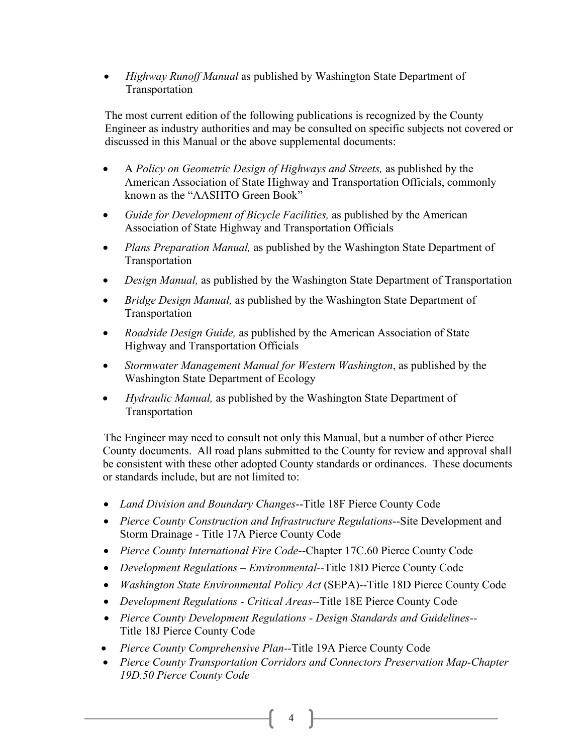• *Highway Runoff Manual* as published by Washington State Department of Transportation

The most current edition of the following publications is recognized by the County Engineer as industry authorities and may be consulted on specific subjects not covered or discussed in this Manual or the above supplemental documents:

- A *Policy on Geometric Design of Highways and Streets,* as published by the American Association of State Highway and Transportation Officials, commonly known as the "AASHTO Green Book"
- *Guide for Development of Bicycle Facilities,* as published by the American Association of State Highway and Transportation Officials
- *Plans Preparation Manual,* as published by the Washington State Department of Transportation
- *Design Manual,* as published by the Washington State Department of Transportation
- *Bridge Design Manual,* as published by the Washington State Department of Transportation
- *Roadside Design Guide,* as published by the American Association of State Highway and Transportation Officials
- *Stormwater Management Manual for Western Washington*, as published by the Washington State Department of Ecology
- *Hydraulic Manual,* as published by the Washington State Department of Transportation

The Engineer may need to consult not only this Manual, but a number of other Pierce County documents. All road plans submitted to the County for review and approval shall be consistent with these other adopted County standards or ordinances. These documents or standards include, but are not limited to:

- *Land Division and Boundary Changes*--Title 18F Pierce County Code
- *Pierce County Construction and Infrastructure Regulations*--Site Development and Storm Drainage - Title 17A Pierce County Code
- *Pierce County International Fire Code*--Chapter 17C.60 Pierce County Code
- *Development Regulations – Environmental--*Title 18D Pierce County Code
- *Washington State Environmental Policy Act* (SEPA)--Title 18D Pierce County Code
- *Development Regulations - Critical Areas--*Title 18E Pierce County Code
- *Pierce County Development Regulations - Design Standards and Guidelines--* Title 18J Pierce County Code
- *Pierce County Comprehensive Plan--*Title 19A Pierce County Code
- *Pierce County Transportation Corridors and Connectors Preservation Map-Chapter 19D.50 Pierce County Code*